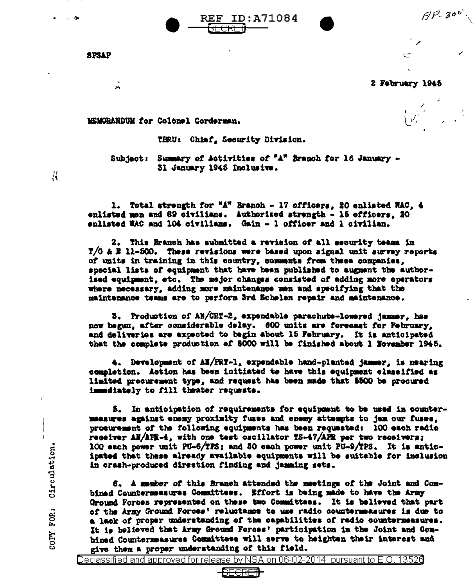$AP-300$ 

**SPSAP** 

 $\rightarrow$ 

2 February 1945

سية

MSMORANDUM for Colonel Corderman.

THRU: Chief, Security Division.

REF

Subject: Summary of Activities of "A" Branch for 16 January -31 January 1945 Inclusive.

ID:A71084

1. Total strength for "A" Branch - 17 officers, 20 enlisted WAC, 4 enlisted men and 89 civilians. Authorized strength - 15 officers, 20 enlisted WAC and 104 civilians. Gain - 1 officer and 1 civilian.

2. This Branch has submitted a revision of all security teams in  $7/0$  & E 11-500. These revisions were based upon signal unit survey reports of units in training in this country, comments from these companies, special lists of equipment that have been published to augment the authorised equipment, etc. The major changes consisted of adding more operators where necessary, adding more maintenance men and specifying that the maintenance teams are to perform 3rd Echelen repair and maintenance.

3. Production of AN/CRT-2, expendable parachute-lowered jammer, has now begun, after considerable delay. 600 units are forecast for February, and deliveries are expected to begin about 15 February. It is anticipated that the complete production of 8000 will be finished about 1 November 1945.

4. Development of AN/PRT-1, expendable hand-planted jammer, is nearing completion. Astion has been initiated to have this equipment classified as limited procurement type, and request has been made that 5500 be procured immediately to fill theater requests.

5. In anticipation of requirements for equipment to be used in countermeasures against enemy proximity fuses and enemy attempts to jem our fuses. procurement of the following equipments has been requested: 100 each radio receiver AN/AFE-4, with one test oscillator TS-47/APR per two receivers; 100 each power unit PU-6/TPS; and 30 each power unit PU-9/TPS. It is anticipated that these already available equipments will be suitable for inclusion in orash-produced direction finding and jamming sets.

6. A mamber of this Branch attended the meetings of the Joint and Combinad Countermataures Committees. Effort is being made to have the Army Oround Forces represented on these two Committees. It is believed that part of the Army Ground Forces' reluctance to use radio countermansures is due to a lack of proper understanding of the capabilities of radio countermeasures. It is helieved that Army Ground Forces' participation in the Joint and Combined Countermeasures Committees will serve to heighten their interest and give them a proper understanding of this field.



Circulation. COPY FOR:

 $\frac{11}{11}$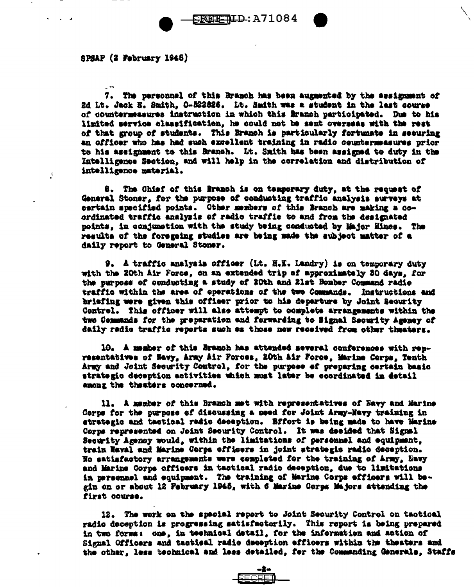SPSAP (2 February 1945)

7. The personnel of this Branch has been augusted by the assignment of 2d Lt. Jack E. Smith, O-522626. Lt. Smith was a student in the last course of countermessures instruction in which this Branch participated. Due to his limited service classification, he could not be sent overseas with the rest of that group of students. This Branch is particularly fortunate in securing an officer who has had such excellent training in radio countermeasures prior to his assignment to this Branch. Lt. Smith has been assigned to duty in the Intelligence Section, and will help in the correlation and distribution of intelligence material.

8. The Chief of this Branch is on temporary duty, at the request of General Stoner, for the purpose of conducting traffic analysis surveys at certain specified points. Other members of this Branch are making a coordinated traffic analysis of radio traffic to and from the designated points, in conjunction with the study being conducted by Major Hines. The results of the foregoing studies are being made the subject matter of a daily report to General Stoner.

9. A traffic analysis officer (Lt. H.K. Landry) is on temporary duty with the 20th Air Force, on an extended trip of approximately 30 days, for the purpose of conducting a study of 20th and 21st Bomber Command radio traffic within the area of operations of the two Commands. Instructions and briefing were given this officer prior to his departure by Joint Seourity Control. This officer will also attempt to complete arrangements within the two Commands for the preparation and forwarding to Signal Security Agency of daily radio traffic reports such as those new received from other theaters.

10. A member of this Branch has attended several conferences with representatives of Havy, Army Air Forces, 20th Air Force, Marine Corps, Tenth Army and Joint Security Control, for the purpose of preparing certain basic strategic deception activities which must later be coordinated in detail among the theaters concerned.

11. A member of this Branch met with representatives of Havy and Marine Corps for the purpose of discussing a need for Joint Army-Navy training in strategic and tactical radio deception. Bffort is being made to have Marine Corps represented on Joint Security Control. It was decided that Signal Security Agency would, within the limitations of persennel and equipment. train Naval and Marine Corps officers in joint strategic radio deception. No satisfactory arrangements were completed for the training of Army, Navy and Marine Corps officers in tactical radio deception, due to limitations in personnel and equipment. The training of Marine Corps efficers will begin on or about 12 February 1945, with 6 Marine Corps Majors attending the first course.

12. The work on the special report to Joint Security Control on tactical radio deception is progressing satisfactorily. This report is being prepared in two forms: one, in technical detail, for the information and action of Signal Officers and tactical radio deception officers within the theaters and the other, less technical and less detailed, for the Commanding Generals, Staffs